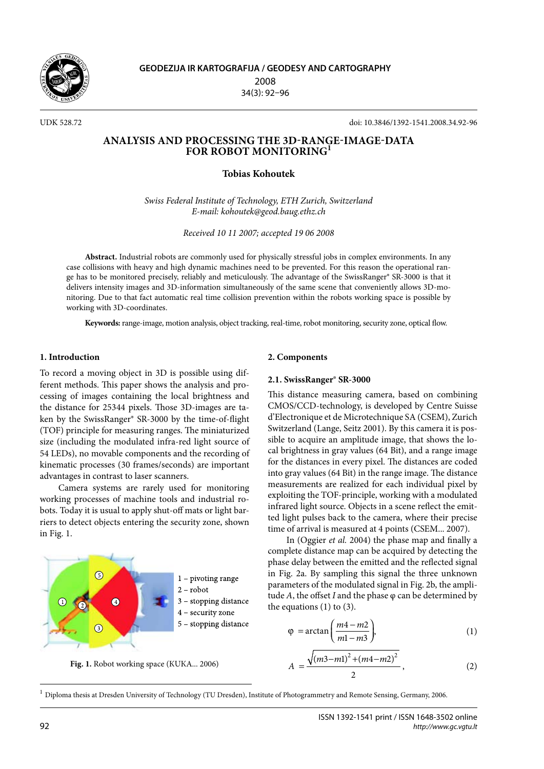

UDK 528.72 doi: 10.3846/1392-1541.2008.34.92-96

# **Analysis and processing the 3d-range-IMAGE-data for robot monitoring<sup>1</sup>**

# **Tobias Kohoutek**

*Swiss Federal Institute of Technology, ETH Zurich, Switzerland E-mail: kohoutek@geod.baug.ethz.ch*

*Received 10 11 2007; accepted 19 06 2008*

**Abstract.** Industrial robots are commonly used for physically stressful jobs in complex environments. In any case collisions with heavy and high dynamic machines need to be prevented. For this reason the operational range has to be monitored precisely, reliably and meticulously. The advantage of the SwissRanger® SR-3000 is that it delivers intensity images and 3D-information simultaneously of the same scene that conveniently allows 3D-monitoring. Due to that fact automatic real time collision prevention within the robots working space is possible by working with 3D-coordinates.

**Keywords:** range-image, motion analysis, object tracking, real-time, robot monitoring, security zone, optical flow.

## **1. Introduction**

To record a moving object in 3D is possible using different methods. This paper shows the analysis and processing of images containing the local brightness and the distance for 25344 pixels. Those 3D-images are taken by the SwissRanger® SR-3000 by the time-of-flight (TOF) principle for measuring ranges. The miniaturized size (including the modulated infra-red light source of 54 LEDs), no movable components and the recording of kinematic processes (30 frames/seconds) are important advantages in contrast to laser scanners.

Camera systems are rarely used for monitoring working processes of machine tools and industrial robots. Today it is usual to apply shut-off mats or light barriers to detect objects entering the security zone, shown in Fig. 1.



**Fig. 1.** Robot working space (КUКА... 2006)

## **2. Components**

## **2.1. SwissRanger® SR-3000**

This distance measuring camera, based on combining CMOS/CCD-technology, is developed by Centre Suisse d'Electronique et de Microtechnique SA (CSEM), Zurich Switzerland (Lange, Seitz 2001). By this camera it is possible to acquire an amplitude image, that shows the local brightness in gray values (64 Bit), and a range image for the distances in every pixel. The distances are coded into gray values (64 Bit) in the range image. The distance measurements are realized for each individual pixel by exploiting the TOF-principle, working with a modulated infrared light source. Objects in a scene reflect the emitted light pulses back to the camera, where their precise time of arrival is measured at 4 points (CSEM... 2007).

In (Oggier *et al.* 2004) the phase map and finally a complete distance map can be acquired by detecting the phase delay between the emitted and the reflected signal in Fig. 2a. By sampling this signal the three unknown parameters of the modulated signal in Fig. 2b, the amplitude *A*, the offset *I* and the phase φ can be determined by the equations  $(1)$  to  $(3)$ .

$$
\varphi = \arctan\left(\frac{m4 - m2}{m1 - m3}\right),\tag{1}
$$

$$
A = \frac{\sqrt{(m3-m1)^2 + (m4-m2)^2}}{2},
$$
 (2)

<sup>1</sup> Diploma thesis at Dresden University of Technology (TU Dresden), Institute of Photogrammetry and Remote Sensing, Germany, 2006.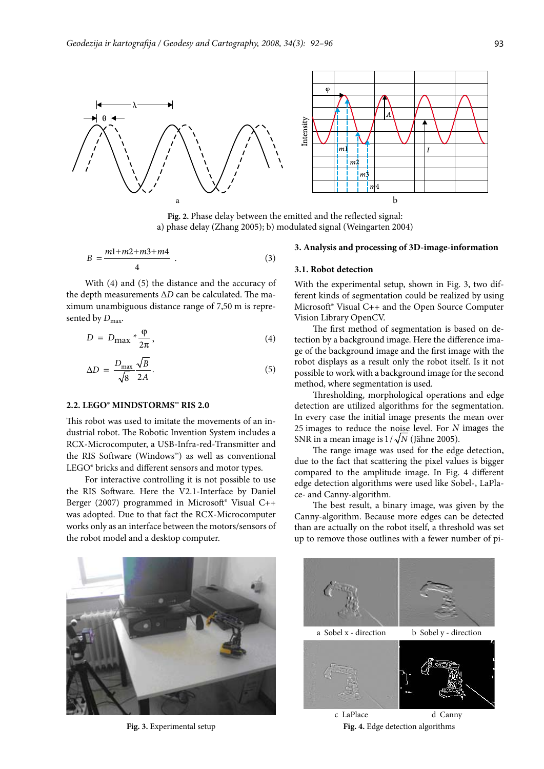

**Fig. 2.** Phase delay between the emitted and the reflected signal: a) phase delay (Zhang 2005); b) modulated signal (Weingarten 2004)

$$
B = \frac{m1 + m2 + m3 + m4}{4}
$$
 (3)

With (4) and (5) the distance and the accuracy of the depth measurements Δ*D* can be calculated. The maximum unambiguous distance range of 7,50 m is represented by  $D_{\text{max}}$ .

$$
D = D_{\text{max}} * \frac{\varphi}{2\pi},\tag{4}
$$

$$
\Delta D = \frac{D_{\text{max}}}{\sqrt{8}} \frac{\sqrt{B}}{2A}.
$$
\n(5)

## **2.2. LEGO® MINDSTORMS™ RIS 2.0**

This robot was used to imitate the movements of an industrial robot. The Robotic Invention System includes a RCX-Microcomputer, a USB-Infra-red-Transmitter and the RIS Software (Windows™) as well as conventional LEGO® bricks and different sensors and motor types.

For interactive controlling it is not possible to use the RIS Software. Here the V2.1-Interface by Daniel Berger (2007) programmed in Microsoft® Visual C++ was adopted. Due to that fact the RCX-Microcomputer works only as an interface between the motors/sensors of the robot model and a desktop computer.

#### **3. Analysis and processing of 3D-image-information**

## **3.1. Robot detection**

With the experimental setup, shown in Fig. 3, two different kinds of segmentation could be realized by using Microsoft® Visual C++ and the Open Source Computer Vision Library OpenCV.

The first method of segmentation is based on detection by a background image. Here the difference image of the background image and the first image with the robot displays as a result only the robot itself. Is it not possible to work with a background image for the second method, where segmentation is used.

Thresholding, morphological operations and edge detection are utilized algorithms for the segmentation. In every case the initial image presents the mean over 25 images to reduce the noise level. For *N* images the SNR in a mean image is  $1/\sqrt{N}$  (Jähne 2005).

The range image was used for the edge detection, due to the fact that scattering the pixel values is bigger compared to the amplitude image. In Fig. 4 different edge detection algorithms were used like Sobel-, LaPlace- and Canny-algorithm.

The best result, a binary image, was given by the Canny-algorithm. Because more edges can be detected than are actually on the robot itself, a threshold was set up to remove those outlines with a fewer number of pi-



**Fig. 3.** Experimental setup



c LaPlace d Canny **Fig. 4.** Edge detection algorithms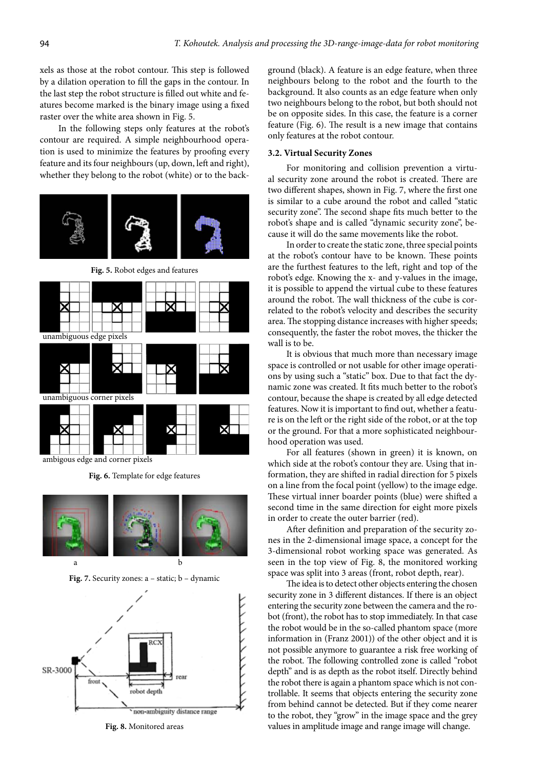xels as those at the robot contour. This step is followed by a dilation operation to fill the gaps in the contour. In the last step the robot structure is filled out white and features become marked is the binary image using a fixed raster over the white area shown in Fig. 5.

In the following steps only features at the robot's contour are required. A simple neighbourhood operation is used to minimize the features by proofing every feature and its four neighbours (up, down, left and right), whether they belong to the robot (white) or to the back-



**Fig. 5.** Robot edges and features



ambigous edge and corner pixels

**Fig. 6.** Template for edge features



Fig. 7. Security zones: a - static; b - dynamic



**Fig. 8.** Monitored areas

ground (black). A feature is an edge feature, when three neighbours belong to the robot and the fourth to the background. It also counts as an edge feature when only two neighbours belong to the robot, but both should not be on opposite sides. In this case, the feature is a corner feature (Fig. 6). The result is a new image that contains only features at the robot contour.

#### **3.2. Virtual Security Zones**

For monitoring and collision prevention a virtual security zone around the robot is created. There are two different shapes, shown in Fig. 7, where the first one is similar to a cube around the robot and called "static security zone". The second shape fits much better to the robot's shape and is called "dynamic security zone", because it will do the same movements like the robot.

In order to create the static zone, three special points at the robot's contour have to be known. These points are the furthest features to the left, right and top of the robot's edge. Knowing the x- and y-values in the image, it is possible to append the virtual cube to these features around the robot. The wall thickness of the cube is correlated to the robot's velocity and describes the security area. The stopping distance increases with higher speeds; consequently, the faster the robot moves, the thicker the wall is to be.

It is obvious that much more than necessary image space is controlled or not usable for other image operations by using such a "static" box. Due to that fact the dynamic zone was created. It fits much better to the robot's contour, because the shape is created by all edge detected features. Now it is important to find out, whether a feature is on the left or the right side of the robot, or at the top or the ground. For that a more sophisticated neighbourhood operation was used.

For all features (shown in green) it is known, on which side at the robot's contour they are. Using that information, they are shifted in radial direction for 5 pixels on a line from the focal point (yellow) to the image edge. These virtual inner boarder points (blue) were shifted a second time in the same direction for eight more pixels in order to create the outer barrier (red).

After definition and preparation of the security zones in the 2-dimensional image space, a concept for the 3-dimensional robot working space was generated. As seen in the top view of Fig. 8, the monitored working space was split into 3 areas (front, robot depth, rear).

The idea is to detect other objects entering the chosen security zone in 3 different distances. If there is an object entering the security zone between the camera and the robot (front), the robot has to stop immediately. In that case the robot would be in the so-called phantom space (more information in (Franz 2001)) of the other object and it is not possible anymore to guarantee a risk free working of the robot. The following controlled zone is called "robot depth" and is as depth as the robot itself. Directly behind the robot there is again a phantom space which is not controllable. It seems that objects entering the security zone from behind cannot be detected. But if they come nearer to the robot, they "grow" in the image space and the grey values in amplitude image and range image will change.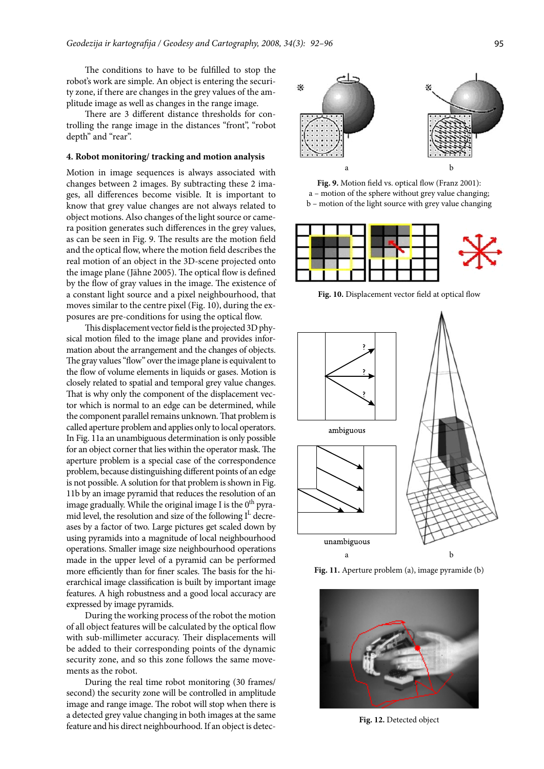The conditions to have to be fulfilled to stop the robot's work are simple. An object is entering the security zone, if there are changes in the grey values of the amplitude image as well as changes in the range image.

There are 3 different distance thresholds for controlling the range image in the distances "front", "robot depth" and "rear".

#### **4. Robot monitoring/ tracking and motion analysis**

Motion in image sequences is always associated with changes between 2 images. By subtracting these 2 images, all differences become visible. It is important to know that grey value changes are not always related to object motions. Also changes of the light source or camera position generates such differences in the grey values, as can be seen in Fig. 9. The results are the motion field and the optical flow, where the motion field describes the real motion of an object in the 3D-scene projected onto the image plane (Jähne 2005). The optical flow is defined by the flow of gray values in the image. The existence of a constant light source and a pixel neighbourhood, that moves similar to the centre pixel (Fig. 10), during the exposures are pre-conditions for using the optical flow.

This displacement vector field is the projected 3D physical motion filed to the image plane and provides information about the arrangement and the changes of objects. The gray values "flow" over the image plane is equivalent to the flow of volume elements in liquids or gases. Motion is closely related to spatial and temporal grey value changes. That is why only the component of the displacement vector which is normal to an edge can be determined, while the component parallel remains unknown. That problem is called aperture problem and applies only to local operators. In Fig. 11a an unambiguous determination is only possible for an object corner that lies within the operator mask. The aperture problem is a special case of the correspondence problem, because distinguishing different points of an edge is not possible. A solution for that problem is shown in Fig. 11b by an image pyramid that reduces the resolution of an image gradually. While the original image I is the  $0<sup>th</sup>$  pyramid level, the resolution and size of the following  $I<sup>L</sup>$  decreases by a factor of two. Large pictures get scaled down by using pyramids into a magnitude of local neighbourhood operations. Smaller image size neighbourhood operations made in the upper level of a pyramid can be performed more efficiently than for finer scales. The basis for the hierarchical image classification is built by important image features. A high robustness and a good local accuracy are expressed by image pyramids.

During the working process of the robot the motion of all object features will be calculated by the optical flow with sub-millimeter accuracy. Their displacements will be added to their corresponding points of the dynamic security zone, and so this zone follows the same movements as the robot.

During the real time robot monitoring (30 frames/ second) the security zone will be controlled in amplitude image and range image. The robot will stop when there is a detected grey value changing in both images at the same feature and his direct neighbourhood. If an object is detec-



Fig. 9. Motion field vs. optical flow (Franz 2001): a – motion of the sphere without grey value changing; b – motion of the light source with grey value changing



**Fig. 10.** Displacement vector field at optical flow



**Fig. 11.** Aperture problem (a), image pyramide (b)



**Fig. 12.** Detected object